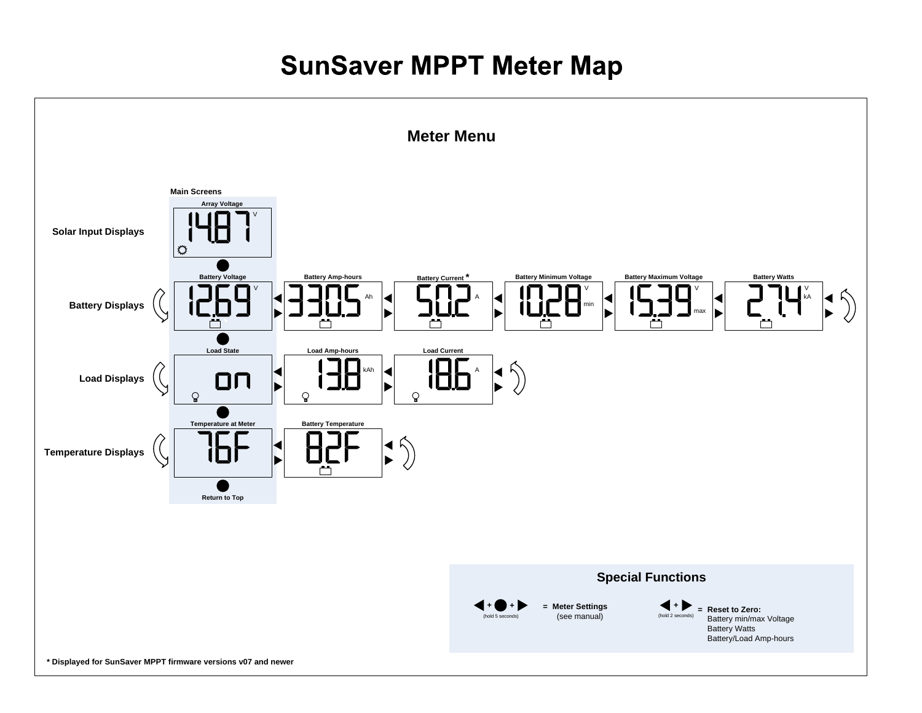## **SunSaver MPPT Meter Map**